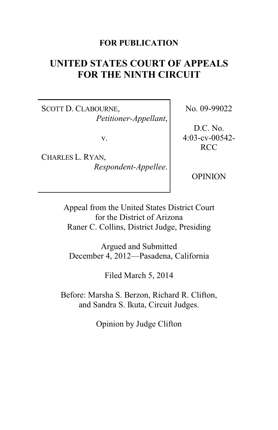### **FOR PUBLICATION**

# **UNITED STATES COURT OF APPEALS FOR THE NINTH CIRCUIT**

SCOTT D. CLABOURNE, *Petitioner-Appellant*,

v.

CHARLES L. RYAN, *Respondent-Appellee*. No. 09-99022

D.C. No. 4:03-cv-00542- RCC

OPINION

Appeal from the United States District Court for the District of Arizona Raner C. Collins, District Judge, Presiding

Argued and Submitted December 4, 2012—Pasadena, California

Filed March 5, 2014

Before: Marsha S. Berzon, Richard R. Clifton, and Sandra S. Ikuta, Circuit Judges.

Opinion by Judge Clifton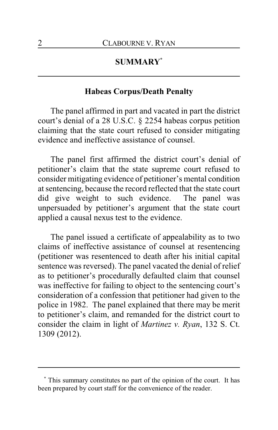### **SUMMARY\***

### **Habeas Corpus/Death Penalty**

The panel affirmed in part and vacated in part the district court's denial of a 28 U.S.C. § 2254 habeas corpus petition claiming that the state court refused to consider mitigating evidence and ineffective assistance of counsel.

The panel first affirmed the district court's denial of petitioner's claim that the state supreme court refused to consider mitigating evidence of petitioner's mental condition at sentencing, because the record reflected that the state court did give weight to such evidence. The panel was unpersuaded by petitioner's argument that the state court applied a causal nexus test to the evidence.

The panel issued a certificate of appealability as to two claims of ineffective assistance of counsel at resentencing (petitioner was resentenced to death after his initial capital sentence was reversed). The panel vacated the denial of relief as to petitioner's procedurally defaulted claim that counsel was ineffective for failing to object to the sentencing court's consideration of a confession that petitioner had given to the police in 1982. The panel explained that there may be merit to petitioner's claim, and remanded for the district court to consider the claim in light of *Martinez v. Ryan*, 132 S. Ct. 1309 (2012).

**<sup>\*</sup>** This summary constitutes no part of the opinion of the court. It has been prepared by court staff for the convenience of the reader.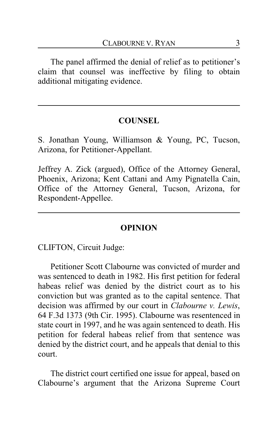The panel affirmed the denial of relief as to petitioner's claim that counsel was ineffective by filing to obtain additional mitigating evidence.

### **COUNSEL**

S. Jonathan Young, Williamson & Young, PC, Tucson, Arizona, for Petitioner-Appellant.

Jeffrey A. Zick (argued), Office of the Attorney General, Phoenix, Arizona; Kent Cattani and Amy Pignatella Cain, Office of the Attorney General, Tucson, Arizona, for Respondent-Appellee.

### **OPINION**

CLIFTON, Circuit Judge:

Petitioner Scott Clabourne was convicted of murder and was sentenced to death in 1982. His first petition for federal habeas relief was denied by the district court as to his conviction but was granted as to the capital sentence. That decision was affirmed by our court in *Clabourne v. Lewis*, 64 F.3d 1373 (9th Cir. 1995). Clabourne was resentenced in state court in 1997, and he was again sentenced to death. His petition for federal habeas relief from that sentence was denied by the district court, and he appeals that denial to this court.

The district court certified one issue for appeal, based on Clabourne's argument that the Arizona Supreme Court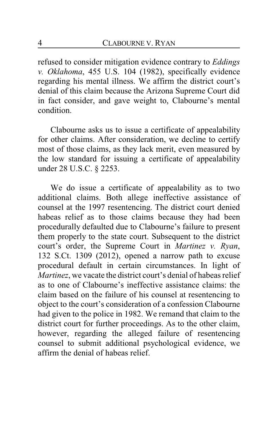refused to consider mitigation evidence contrary to *Eddings v. Oklahoma*, 455 U.S. 104 (1982), specifically evidence regarding his mental illness. We affirm the district court's denial of this claim because the Arizona Supreme Court did in fact consider, and gave weight to, Clabourne's mental condition.

Clabourne asks us to issue a certificate of appealability for other claims. After consideration, we decline to certify most of those claims, as they lack merit, even measured by the low standard for issuing a certificate of appealability under 28 U.S.C. § 2253.

We do issue a certificate of appealability as to two additional claims. Both allege ineffective assistance of counsel at the 1997 resentencing. The district court denied habeas relief as to those claims because they had been procedurally defaulted due to Clabourne's failure to present them properly to the state court. Subsequent to the district court's order, the Supreme Court in *Martinez v. Ryan*, 132 S.Ct. 1309 (2012), opened a narrow path to excuse procedural default in certain circumstances. In light of *Martinez*, we vacate the district court's denial of habeas relief as to one of Clabourne's ineffective assistance claims: the claim based on the failure of his counsel at resentencing to object to the court's consideration of a confession Clabourne had given to the police in 1982. We remand that claim to the district court for further proceedings. As to the other claim, however, regarding the alleged failure of resentencing counsel to submit additional psychological evidence, we affirm the denial of habeas relief.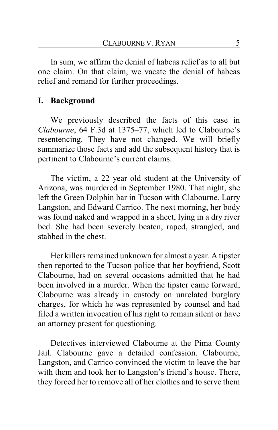In sum, we affirm the denial of habeas relief as to all but one claim. On that claim, we vacate the denial of habeas relief and remand for further proceedings.

### **I. Background**

We previously described the facts of this case in *Clabourne*, 64 F.3d at 1375–77, which led to Clabourne's resentencing. They have not changed. We will briefly summarize those facts and add the subsequent history that is pertinent to Clabourne's current claims.

The victim, a 22 year old student at the University of Arizona, was murdered in September 1980. That night, she left the Green Dolphin bar in Tucson with Clabourne, Larry Langston, and Edward Carrico. The next morning, her body was found naked and wrapped in a sheet, lying in a dry river bed. She had been severely beaten, raped, strangled, and stabbed in the chest.

Her killers remained unknown for almost a year. A tipster then reported to the Tucson police that her boyfriend, Scott Clabourne, had on several occasions admitted that he had been involved in a murder. When the tipster came forward, Clabourne was already in custody on unrelated burglary charges, for which he was represented by counsel and had filed a written invocation of his right to remain silent or have an attorney present for questioning.

Detectives interviewed Clabourne at the Pima County Jail. Clabourne gave a detailed confession. Clabourne, Langston, and Carrico convinced the victim to leave the bar with them and took her to Langston's friend's house. There, they forced her to remove all of her clothes and to serve them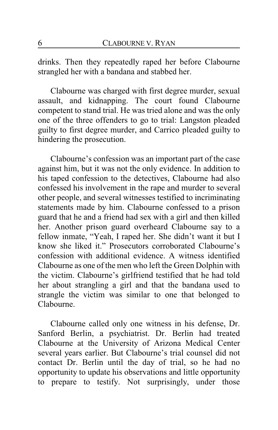drinks. Then they repeatedly raped her before Clabourne strangled her with a bandana and stabbed her.

Clabourne was charged with first degree murder, sexual assault, and kidnapping. The court found Clabourne competent to stand trial. He was tried alone and was the only one of the three offenders to go to trial: Langston pleaded guilty to first degree murder, and Carrico pleaded guilty to hindering the prosecution.

Clabourne's confession was an important part of the case against him, but it was not the only evidence. In addition to his taped confession to the detectives, Clabourne had also confessed his involvement in the rape and murder to several other people, and several witnesses testified to incriminating statements made by him. Clabourne confessed to a prison guard that he and a friend had sex with a girl and then killed her. Another prison guard overheard Clabourne say to a fellow inmate, "Yeah, I raped her. She didn't want it but I know she liked it." Prosecutors corroborated Clabourne's confession with additional evidence. A witness identified Clabourne as one of the men who left the Green Dolphin with the victim. Clabourne's girlfriend testified that he had told her about strangling a girl and that the bandana used to strangle the victim was similar to one that belonged to Clabourne.

Clabourne called only one witness in his defense, Dr. Sanford Berlin, a psychiatrist. Dr. Berlin had treated Clabourne at the University of Arizona Medical Center several years earlier. But Clabourne's trial counsel did not contact Dr. Berlin until the day of trial, so he had no opportunity to update his observations and little opportunity to prepare to testify. Not surprisingly, under those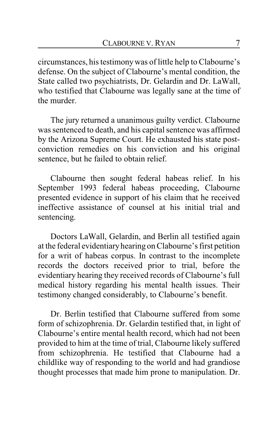circumstances, his testimonywas of little help to Clabourne's defense. On the subject of Clabourne's mental condition, the State called two psychiatrists, Dr. Gelardin and Dr. LaWall, who testified that Clabourne was legally sane at the time of the murder.

The jury returned a unanimous guilty verdict. Clabourne was sentenced to death, and his capital sentence was affirmed by the Arizona Supreme Court. He exhausted his state postconviction remedies on his conviction and his original sentence, but he failed to obtain relief.

Clabourne then sought federal habeas relief. In his September 1993 federal habeas proceeding, Clabourne presented evidence in support of his claim that he received ineffective assistance of counsel at his initial trial and sentencing.

Doctors LaWall, Gelardin, and Berlin all testified again at the federal evidentiaryhearing on Clabourne's first petition for a writ of habeas corpus. In contrast to the incomplete records the doctors received prior to trial, before the evidentiary hearing they received records of Clabourne's full medical history regarding his mental health issues. Their testimony changed considerably, to Clabourne's benefit.

Dr. Berlin testified that Clabourne suffered from some form of schizophrenia. Dr. Gelardin testified that, in light of Clabourne's entire mental health record, which had not been provided to him at the time of trial, Clabourne likely suffered from schizophrenia. He testified that Clabourne had a childlike way of responding to the world and had grandiose thought processes that made him prone to manipulation. Dr.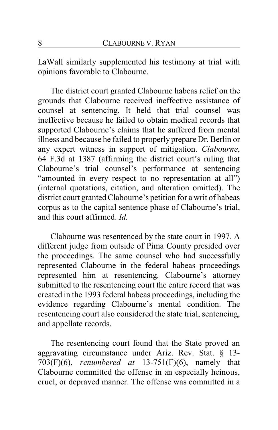LaWall similarly supplemented his testimony at trial with opinions favorable to Clabourne.

The district court granted Clabourne habeas relief on the grounds that Clabourne received ineffective assistance of counsel at sentencing. It held that trial counsel was ineffective because he failed to obtain medical records that supported Clabourne's claims that he suffered from mental illness and because he failed to properly prepare Dr. Berlin or any expert witness in support of mitigation. *Clabourne*, 64 F.3d at 1387 (affirming the district court's ruling that Clabourne's trial counsel's performance at sentencing "amounted in every respect to no representation at all") (internal quotations, citation, and alteration omitted). The district court granted Clabourne's petition for a writ of habeas corpus as to the capital sentence phase of Clabourne's trial, and this court affirmed. *Id.*

Clabourne was resentenced by the state court in 1997. A different judge from outside of Pima County presided over the proceedings. The same counsel who had successfully represented Clabourne in the federal habeas proceedings represented him at resentencing. Clabourne's attorney submitted to the resentencing court the entire record that was created in the 1993 federal habeas proceedings, including the evidence regarding Clabourne's mental condition. The resentencing court also considered the state trial, sentencing, and appellate records.

The resentencing court found that the State proved an aggravating circumstance under Ariz. Rev. Stat. § 13- 703(F)(6), *renumbered at* 13-751(F)(6), namely that Clabourne committed the offense in an especially heinous, cruel, or depraved manner. The offense was committed in a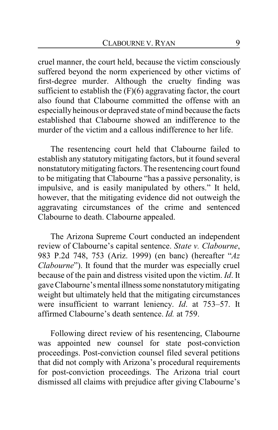cruel manner, the court held, because the victim consciously suffered beyond the norm experienced by other victims of first-degree murder. Although the cruelty finding was sufficient to establish the  $(F)(6)$  aggravating factor, the court also found that Clabourne committed the offense with an especiallyheinous or depraved state of mind because the facts established that Clabourne showed an indifference to the murder of the victim and a callous indifference to her life.

The resentencing court held that Clabourne failed to establish any statutory mitigating factors, but it found several nonstatutorymitigating factors. The resentencing court found to be mitigating that Clabourne "has a passive personality, is impulsive, and is easily manipulated by others." It held, however, that the mitigating evidence did not outweigh the aggravating circumstances of the crime and sentenced Clabourne to death. Clabourne appealed.

The Arizona Supreme Court conducted an independent review of Clabourne's capital sentence. *State v. Clabourne*, 983 P.2d 748, 753 (Ariz. 1999) (en banc) (hereafter "*Az Clabourne*"). It found that the murder was especially cruel because of the pain and distress visited upon the victim. *Id*. It gave Clabourne's mental illnesssome nonstatutorymitigating weight but ultimately held that the mitigating circumstances were insufficient to warrant leniency. *Id*. at 753–57. It affirmed Clabourne's death sentence. *Id.* at 759.

Following direct review of his resentencing, Clabourne was appointed new counsel for state post-conviction proceedings. Post-conviction counsel filed several petitions that did not comply with Arizona's procedural requirements for post-conviction proceedings. The Arizona trial court dismissed all claims with prejudice after giving Clabourne's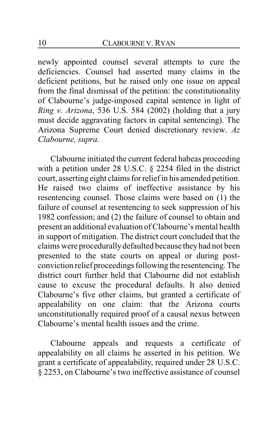newly appointed counsel several attempts to cure the deficiencies. Counsel had asserted many claims in the deficient petitions, but he raised only one issue on appeal from the final dismissal of the petition: the constitutionality of Clabourne's judge-imposed capital sentence in light of *Ring v. Arizona*, 536 U.S. 584 (2002) (holding that a jury must decide aggravating factors in capital sentencing). The Arizona Supreme Court denied discretionary review. *Az Clabourne, supra.*

Clabourne initiated the current federal habeas proceeding with a petition under 28 U.S.C. § 2254 filed in the district court, asserting eight claims for relief in his amended petition. He raised two claims of ineffective assistance by his resentencing counsel. Those claims were based on (1) the failure of counsel at resentencing to seek suppression of his 1982 confession; and (2) the failure of counsel to obtain and present an additional evaluation of Clabourne's mental health in support of mitigation. The district court concluded that the claims were procedurallydefaulted because they had not been presented to the state courts on appeal or during postconviction relief proceedings following the resentencing. The district court further held that Clabourne did not establish cause to excuse the procedural defaults. It also denied Clabourne's five other claims, but granted a certificate of appealability on one claim: that the Arizona courts unconstitutionally required proof of a causal nexus between Clabourne's mental health issues and the crime.

Clabourne appeals and requests a certificate of appealability on all claims he asserted in his petition. We grant a certificate of appealability, required under 28 U.S.C. § 2253, on Clabourne's two ineffective assistance of counsel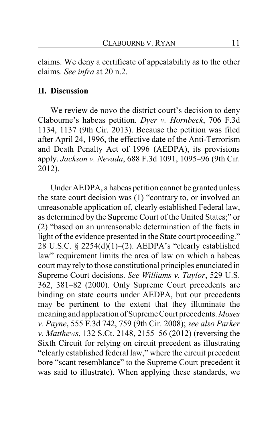claims. We deny a certificate of appealability as to the other claims. *See infra* at 20 n.2.

#### **II. Discussion**

We review de novo the district court's decision to deny Clabourne's habeas petition. *Dyer v. Hornbeck*, 706 F.3d 1134, 1137 (9th Cir. 2013). Because the petition was filed after April 24, 1996, the effective date of the Anti-Terrorism and Death Penalty Act of 1996 (AEDPA), its provisions apply. *Jackson v. Nevada*, 688 F.3d 1091, 1095–96 (9th Cir. 2012).

Under AEDPA, a habeas petition cannot be granted unless the state court decision was (1) "contrary to, or involved an unreasonable application of, clearly established Federal law, as determined by the Supreme Court of the United States;" or (2) "based on an unreasonable determination of the facts in light of the evidence presented in the State court proceeding." 28 U.S.C. § 2254(d)(1)–(2). AEDPA's "clearly established law" requirement limits the area of law on which a habeas court may rely to those constitutional principles enunciated in Supreme Court decisions. *See Williams v. Taylor*, 529 U.S. 362, 381–82 (2000). Only Supreme Court precedents are binding on state courts under AEDPA, but our precedents may be pertinent to the extent that they illuminate the meaning and application of SupremeCourt precedents.*Moses v. Payne*, 555 F.3d 742, 759 (9th Cir. 2008); *see also Parker v. Matthews*, 132 S.Ct. 2148, 2155–56 (2012) (reversing the Sixth Circuit for relying on circuit precedent as illustrating "clearly established federal law," where the circuit precedent bore "scant resemblance" to the Supreme Court precedent it was said to illustrate). When applying these standards, we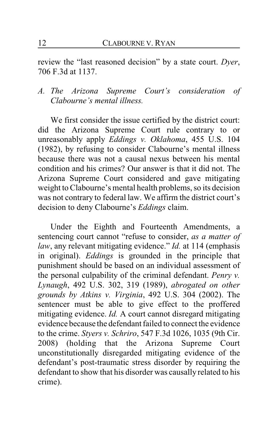review the "last reasoned decision" by a state court. *Dyer*, 706 F.3d at 1137.

### *A. The Arizona Supreme Court's consideration of Clabourne's mental illness.*

We first consider the issue certified by the district court: did the Arizona Supreme Court rule contrary to or unreasonably apply *Eddings v. Oklahoma*, 455 U.S. 104 (1982), by refusing to consider Clabourne's mental illness because there was not a causal nexus between his mental condition and his crimes? Our answer is that it did not. The Arizona Supreme Court considered and gave mitigating weight to Clabourne's mental health problems, so its decision was not contrary to federal law. We affirm the district court's decision to deny Clabourne's *Eddings* claim.

Under the Eighth and Fourteenth Amendments, a sentencing court cannot "refuse to consider, *as a matter of law*, any relevant mitigating evidence." *Id.* at 114 (emphasis in original). *Eddings* is grounded in the principle that punishment should be based on an individual assessment of the personal culpability of the criminal defendant. *Penry v. Lynaugh*, 492 U.S. 302, 319 (1989), *abrogated on other grounds by Atkins v. Virginia*, 492 U.S. 304 (2002). The sentencer must be able to give effect to the proffered mitigating evidence. *Id.* A court cannot disregard mitigating evidence because the defendant failed to connect the evidence to the crime. *Styers v. Schriro*, 547 F.3d 1026, 1035 (9th Cir. 2008) (holding that the Arizona Supreme Court unconstitutionally disregarded mitigating evidence of the defendant's post-traumatic stress disorder by requiring the defendant to show that his disorder was causally related to his crime).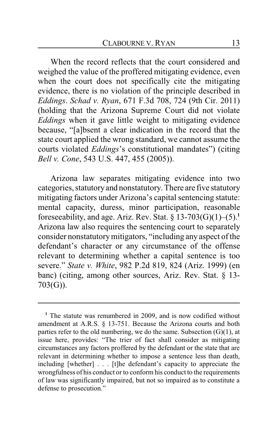When the record reflects that the court considered and weighed the value of the proffered mitigating evidence, even when the court does not specifically cite the mitigating evidence, there is no violation of the principle described in *Eddings*. *Schad v. Ryan*, 671 F.3d 708, 724 (9th Cir. 2011) (holding that the Arizona Supreme Court did not violate *Eddings* when it gave little weight to mitigating evidence because, "[a]bsent a clear indication in the record that the state court applied the wrong standard, we cannot assume the courts violated *Eddings*'s constitutional mandates") (citing *Bell v. Cone*, 543 U.S. 447, 455 (2005)).

Arizona law separates mitigating evidence into two categories, statutoryand nonstatutory. There are five statutory mitigating factors under Arizona's capital sentencing statute: mental capacity, duress, minor participation, reasonable foreseeability, and age. Ariz. Rev. Stat.  $\S 13-703(G)(1)-(5).<sup>1</sup>$ Arizona law also requires the sentencing court to separately consider nonstatutorymitigators, "including any aspect of the defendant's character or any circumstance of the offense relevant to determining whether a capital sentence is too severe." *State v. White*, 982 P.2d 819, 824 (Ariz. 1999) (en banc) (citing, among other sources, Ariz. Rev. Stat. § 13- 703(G)).

**<sup>1</sup>** The statute was renumbered in 2009, and is now codified without amendment at A.R.S. § 13-751. Because the Arizona courts and both parties refer to the old numbering, we do the same. Subsection  $(G)(1)$ , at issue here, provides: "The trier of fact shall consider as mitigating circumstances any factors proffered by the defendant or the state that are relevant in determining whether to impose a sentence less than death, including [whether] . . . [t]he defendant's capacity to appreciate the wrongfulness of his conduct or to conform his conduct to the requirements of law was significantly impaired, but not so impaired as to constitute a defense to prosecution."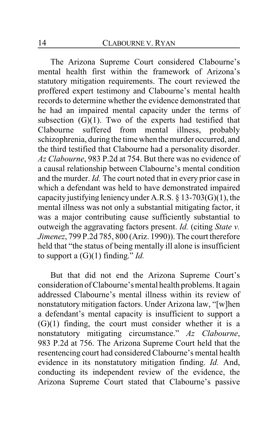The Arizona Supreme Court considered Clabourne's mental health first within the framework of Arizona's statutory mitigation requirements. The court reviewed the proffered expert testimony and Clabourne's mental health records to determine whether the evidence demonstrated that he had an impaired mental capacity under the terms of subsection  $(G)(1)$ . Two of the experts had testified that Clabourne suffered from mental illness, probably schizophrenia, during the time when themurder occurred, and the third testified that Clabourne had a personality disorder. *Az Clabourne*, 983 P.2d at 754. But there was no evidence of a causal relationship between Clabourne's mental condition and the murder. *Id.* The court noted that in every prior case in which a defendant was held to have demonstrated impaired capacity justifying leniency under A.R.S. § 13-703(G)(1), the mental illness was not only a substantial mitigating factor, it was a major contributing cause sufficiently substantial to outweigh the aggravating factors present. *Id.* (citing *State v. Jimenez*, 799 P.2d 785, 800 (Ariz. 1990)). The court therefore held that "the status of being mentally ill alone is insufficient to support a (G)(1) finding." *Id.*

But that did not end the Arizona Supreme Court's consideration of Clabourne's mental health problems. It again addressed Clabourne's mental illness within its review of nonstatutory mitigation factors. Under Arizona law, "[w]hen a defendant's mental capacity is insufficient to support a (G)(1) finding, the court must consider whether it is a nonstatutory mitigating circumstance." *Az Clabourne*, 983 P.2d at 756. The Arizona Supreme Court held that the resentencing court had considered Clabourne's mental health evidence in its nonstatutory mitigation finding. *Id.* And, conducting its independent review of the evidence, the Arizona Supreme Court stated that Clabourne's passive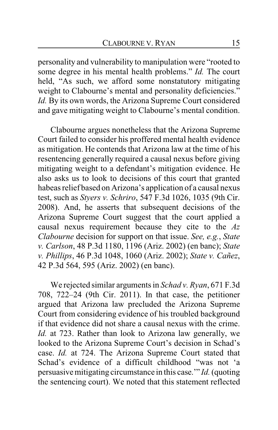personality and vulnerability to manipulation were "rooted to some degree in his mental health problems." *Id.* The court held, "As such, we afford some nonstatutory mitigating weight to Clabourne's mental and personality deficiencies." *Id.* By its own words, the Arizona Supreme Court considered and gave mitigating weight to Clabourne's mental condition.

Clabourne argues nonetheless that the Arizona Supreme Court failed to consider his proffered mental health evidence as mitigation. He contends that Arizona law at the time of his resentencing generally required a causal nexus before giving mitigating weight to a defendant's mitigation evidence. He also asks us to look to decisions of this court that granted habeas relief based on Arizona's application of a causal nexus test, such as *Styers v. Schriro*, 547 F.3d 1026, 1035 (9th Cir. 2008). And, he asserts that subsequent decisions of the Arizona Supreme Court suggest that the court applied a causal nexus requirement because they cite to the *Az Clabourne* decision for support on that issue. *See, e.g.*, *State v. Carlson*, 48 P.3d 1180, 1196 (Ariz. 2002) (en banc); *State v. Phillips*, 46 P.3d 1048, 1060 (Ariz. 2002); *State v. Cañez*, 42 P.3d 564, 595 (Ariz. 2002) (en banc).

We rejected similar arguments in *Schad v. Ryan*, 671 F.3d 708, 722–24 (9th Cir. 2011). In that case, the petitioner argued that Arizona law precluded the Arizona Supreme Court from considering evidence of his troubled background if that evidence did not share a causal nexus with the crime. *Id.* at 723. Rather than look to Arizona law generally, we looked to the Arizona Supreme Court's decision in Schad's case. *Id.* at 724. The Arizona Supreme Court stated that Schad's evidence of a difficult childhood "was not 'a persuasive mitigating circumstance in this case.'" *Id.* (quoting the sentencing court). We noted that this statement reflected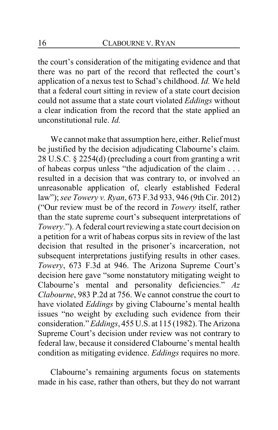the court's consideration of the mitigating evidence and that there was no part of the record that reflected the court's application of a nexus test to Schad's childhood. *Id.* We held that a federal court sitting in review of a state court decision could not assume that a state court violated *Eddings* without a clear indication from the record that the state applied an unconstitutional rule. *Id.*

We cannot make that assumption here, either. Relief must be justified by the decision adjudicating Clabourne's claim. 28 U.S.C. § 2254(d) (precluding a court from granting a writ of habeas corpus unless "the adjudication of the claim . . . resulted in a decision that was contrary to, or involved an unreasonable application of, clearly established Federal law"); *see Towery v. Ryan*, 673 F.3d 933, 946 (9th Cir. 2012) ("Our review must be of the record in *Towery* itself, rather than the state supreme court's subsequent interpretations of *Towery*."). A federal court reviewing a state court decision on a petition for a writ of habeas corpus sits in review of the last decision that resulted in the prisoner's incarceration, not subsequent interpretations justifying results in other cases. *Towery*, 673 F.3d at 946. The Arizona Supreme Court's decision here gave "some nonstatutory mitigating weight to Clabourne's mental and personality deficiencies." *Az Clabourne*, 983 P.2d at 756. We cannot construe the court to have violated *Eddings* by giving Clabourne's mental health issues "no weight by excluding such evidence from their consideration." *Eddings*, 455 U.S. at 115 (1982). The Arizona Supreme Court's decision under review was not contrary to federal law, because it considered Clabourne's mental health condition as mitigating evidence. *Eddings* requires no more.

Clabourne's remaining arguments focus on statements made in his case, rather than others, but they do not warrant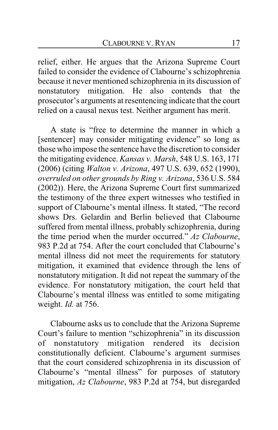relief, either. He argues that the Arizona Supreme Court failed to consider the evidence of Clabourne's schizophrenia because it never mentioned schizophrenia in its discussion of nonstatutory mitigation. He also contends that the prosecutor's arguments at resentencing indicate that the court relied on a causal nexus test. Neither argument has merit.

A state is "free to determine the manner in which a [sentencer] may consider mitigating evidence" so long as those who impose the sentence have the discretion to consider the mitigating evidence. *Kansas v. Marsh*, 548 U.S. 163, 171 (2006) (citing *Walton v. Arizona*, 497 U.S. 639, 652 (1990), *overruled on other grounds by Ring v. Arizona*, 536 U.S. 584 (2002)). Here, the Arizona Supreme Court first summarized the testimony of the three expert witnesses who testified in support of Clabourne's mental illness. It stated, "The record shows Drs. Gelardin and Berlin believed that Clabourne suffered from mental illness, probably schizophrenia, during the time period when the murder occurred." *Az Clabourne*, 983 P.2d at 754. After the court concluded that Clabourne's mental illness did not meet the requirements for statutory mitigation, it examined that evidence through the lens of nonstatutory mitigation. It did not repeat the summary of the evidence. For nonstatutory mitigation, the court held that Clabourne's mental illness was entitled to some mitigating weight. *Id.* at 756.

Clabourne asks us to conclude that the Arizona Supreme Court's failure to mention "schizophrenia" in its discussion of nonstatutory mitigation rendered its decision constitutionally deficient. Clabourne's argument surmises that the court considered schizophrenia in its discussion of Clabourne's "mental illness" for purposes of statutory mitigation, *Az Clabourne*, 983 P.2d at 754, but disregarded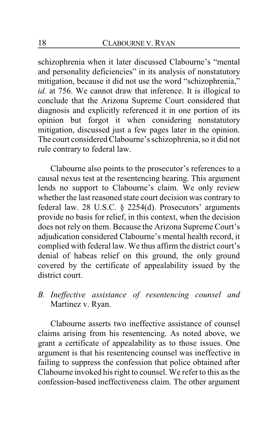schizophrenia when it later discussed Clabourne's "mental and personality deficiencies" in its analysis of nonstatutory mitigation, because it did not use the word "schizophrenia," *id.* at 756. We cannot draw that inference. It is illogical to conclude that the Arizona Supreme Court considered that diagnosis and explicitly referenced it in one portion of its opinion but forgot it when considering nonstatutory mitigation, discussed just a few pages later in the opinion. The court considered Clabourne's schizophrenia, so it did not rule contrary to federal law.

Clabourne also points to the prosecutor's references to a causal nexus test at the resentencing hearing. This argument lends no support to Clabourne's claim. We only review whether the last reasoned state court decision was contrary to federal law. 28 U.S.C. § 2254(d). Prosecutors' arguments provide no basis for relief, in this context, when the decision does not rely on them. Because the Arizona Supreme Court's adjudication considered Clabourne's mental health record, it complied with federal law. We thus affirm the district court's denial of habeas relief on this ground, the only ground covered by the certificate of appealability issued by the district court.

*B. Ineffective assistance of resentencing counsel and* Martinez v. Ryan.

Clabourne asserts two ineffective assistance of counsel claims arising from his resentencing. As noted above, we grant a certificate of appealability as to those issues. One argument is that his resentencing counsel was ineffective in failing to suppress the confession that police obtained after Clabourne invoked his right to counsel. We refer to this as the confession-based ineffectiveness claim. The other argument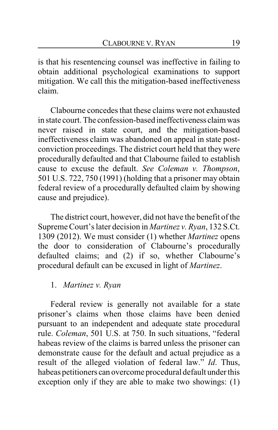is that his resentencing counsel was ineffective in failing to obtain additional psychological examinations to support mitigation. We call this the mitigation-based ineffectiveness claim.

Clabourne concedes that these claims were not exhausted in state court. The confession-based ineffectiveness claimwas never raised in state court, and the mitigation-based ineffectiveness claim was abandoned on appeal in state postconviction proceedings. The district court held that they were procedurally defaulted and that Clabourne failed to establish cause to excuse the default. *See Coleman v. Thompson*, 501 U.S. 722, 750 (1991) (holding that a prisoner may obtain federal review of a procedurally defaulted claim by showing cause and prejudice).

The district court, however, did not have the benefit of the Supreme Court's later decision in *Martinez v. Ryan*, 132 S.Ct. 1309 (2012). We must consider (1) whether *Martinez* opens the door to consideration of Clabourne's procedurally defaulted claims; and (2) if so, whether Clabourne's procedural default can be excused in light of *Martinez*.

### 1. *Martinez v. Ryan*

Federal review is generally not available for a state prisoner's claims when those claims have been denied pursuant to an independent and adequate state procedural rule. *Coleman*, 501 U.S. at 750. In such situations, "federal habeas review of the claims is barred unless the prisoner can demonstrate cause for the default and actual prejudice as a result of the alleged violation of federal law." *Id*. Thus, habeas petitioners can overcome procedural default under this exception only if they are able to make two showings: (1)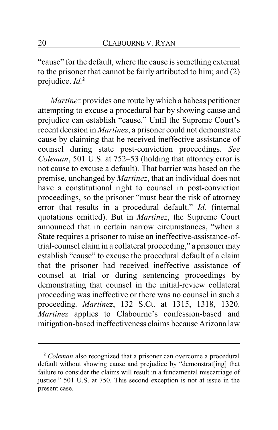"cause" for the default, where the cause is something external to the prisoner that cannot be fairly attributed to him; and (2) prejudice. *Id.***<sup>2</sup>**

*Martinez* provides one route by which a habeas petitioner attempting to excuse a procedural bar by showing cause and prejudice can establish "cause." Until the Supreme Court's recent decision in *Martinez*, a prisoner could not demonstrate cause by claiming that he received ineffective assistance of counsel during state post-conviction proceedings. *See Coleman*, 501 U.S. at 752–53 (holding that attorney error is not cause to excuse a default). That barrier was based on the premise, unchanged by *Martinez*, that an individual does not have a constitutional right to counsel in post-conviction proceedings, so the prisoner "must bear the risk of attorney error that results in a procedural default." *Id.* (internal quotations omitted). But in *Martinez*, the Supreme Court announced that in certain narrow circumstances, "when a State requires a prisoner to raise an ineffective-assistance-oftrial-counsel claim in a collateral proceeding," a prisoner may establish "cause" to excuse the procedural default of a claim that the prisoner had received ineffective assistance of counsel at trial or during sentencing proceedings by demonstrating that counsel in the initial-review collateral proceeding was ineffective or there was no counsel in such a proceeding. *Martinez*, 132 S.Ct. at 1315, 1318, 1320. *Martinez* applies to Clabourne's confession-based and mitigation-based ineffectiveness claims because Arizona law

**<sup>2</sup>** *Coleman* also recognized that a prisoner can overcome a procedural default without showing cause and prejudice by "demonstrat[ing] that failure to consider the claims will result in a fundamental miscarriage of justice." 501 U.S. at 750. This second exception is not at issue in the present case.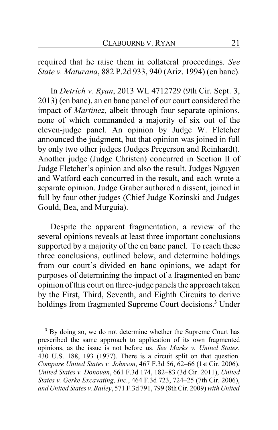required that he raise them in collateral proceedings. *See State v. Maturana*, 882 P.2d 933, 940 (Ariz. 1994) (en banc).

In *Detrich v. Ryan*, 2013 WL 4712729 (9th Cir. Sept. 3, 2013) (en banc), an en banc panel of our court considered the impact of *Martinez*, albeit through four separate opinions, none of which commanded a majority of six out of the eleven-judge panel. An opinion by Judge W. Fletcher announced the judgment, but that opinion was joined in full by only two other judges (Judges Pregerson and Reinhardt). Another judge (Judge Christen) concurred in Section II of Judge Fletcher's opinion and also the result. Judges Nguyen and Watford each concurred in the result, and each wrote a separate opinion. Judge Graber authored a dissent, joined in full by four other judges (Chief Judge Kozinski and Judges Gould, Bea, and Murguia).

Despite the apparent fragmentation, a review of the several opinions reveals at least three important conclusions supported by a majority of the en banc panel. To reach these three conclusions, outlined below, and determine holdings from our court's divided en banc opinions, we adapt for purposes of determining the impact of a fragmented en banc opinion of this court on three-judge panels the approach taken by the First, Third, Seventh, and Eighth Circuits to derive holdings from fragmented Supreme Court decisions.**<sup>3</sup>** Under

**<sup>3</sup>** By doing so, we do not determine whether the Supreme Court has prescribed the same approach to application of its own fragmented opinions, as the issue is not before us. *See Marks v. United States*, 430 U.S. 188, 193 (1977). There is a circuit split on that question. *Compare United States v. Johnson*, 467 F.3d 56, 62–66 (1st Cir. 2006), *United States v. Donovan*, 661 F.3d 174, 182–83 (3d Cir. 2011), *United States v. Gerke Excavating, Inc.*, 464 F.3d 723, 724–25 (7th Cir. 2006), *and United States v. Bailey*, 571 F.3d 791, 799 (8thCir. 2009) *with United*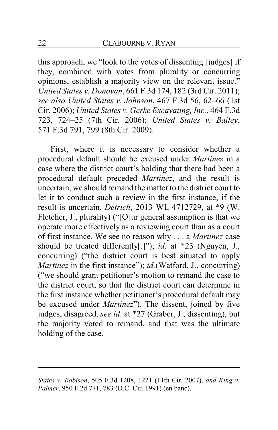this approach, we "look to the votes of dissenting [judges] if they, combined with votes from plurality or concurring opinions, establish a majority view on the relevant issue." *United States v. Donovan*, 661 F.3d 174, 182 (3rd Cir. 2011); *see also United States v. Johnson*, 467 F.3d 56, 62–66 (1st Cir. 2006); *United States v. Gerke Excavating, Inc.*, 464 F.3d 723, 724–25 (7th Cir. 2006); *United States v. Bailey*, 571 F.3d 791, 799 (8th Cir. 2009).

First, where it is necessary to consider whether a procedural default should be excused under *Martinez* in a case where the district court's holding that there had been a procedural default preceded *Martinez*, and the result is uncertain, we should remand the matter to the district court to let it to conduct such a review in the first instance, if the result is uncertain. *Detrich*, 2013 WL 4712729, at \*9 (W. Fletcher, J., plurality) ("[O]ur general assumption is that we operate more effectively as a reviewing court than as a court of first instance. We see no reason why . . . a *Martinez* case should be treated differently[.]"); *id.* at \*23 (Nguyen, J., concurring) ("the district court is best situated to apply *Martinez* in the first instance"); *id.*(Watford, J., concurring) ("we should grant petitioner's motion to remand the case to the district court, so that the district court can determine in the first instance whether petitioner's procedural default may be excused under *Martinez*"). The dissent, joined by five judges, disagreed, *see id*. at \*27 (Graber, J., dissenting), but the majority voted to remand, and that was the ultimate holding of the case.

*States v. Robison*, 505 F.3d 1208, 1221 (11th Cir. 2007), *and King v. Palmer*, 950 F.2d 771, 783 (D.C. Cir. 1991) (en banc).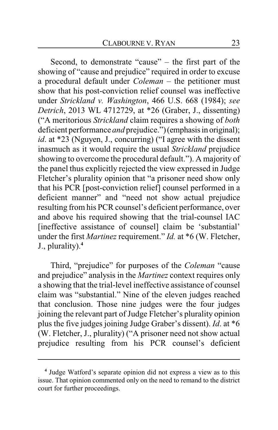Second, to demonstrate "cause" – the first part of the showing of "cause and prejudice" required in order to excuse a procedural default under *Coleman* – the petitioner must show that his post-conviction relief counsel was ineffective under *Strickland v. Washington*, 466 U.S. 668 (1984); *see Detrich*, 2013 WL 4712729, at \*26 (Graber, J., dissenting) ("A meritorious *Strickland* claim requires a showing of *both* deficient performance *and* prejudice.") (emphasis in original); *id*. at \*23 (Nguyen, J., concurring) ("I agree with the dissent inasmuch as it would require the usual *Strickland* prejudice showing to overcome the procedural default."). A majority of the panel thus explicitly rejected the view expressed in Judge Fletcher's plurality opinion that "a prisoner need show only that his PCR [post-conviction relief] counsel performed in a deficient manner" and "need not show actual prejudice resulting from his PCR counsel's deficient performance, over and above his required showing that the trial-counsel IAC [ineffective assistance of counsel] claim be 'substantial' under the first *Martinez* requirement." *Id.* at \*6 (W. Fletcher, J., plurality).**<sup>4</sup>**

Third, "prejudice" for purposes of the *Coleman* "cause and prejudice" analysis in the *Martinez* context requires only a showing that the trial-level ineffective assistance of counsel claim was "substantial." Nine of the eleven judges reached that conclusion. Those nine judges were the four judges joining the relevant part of Judge Fletcher's plurality opinion plus the five judges joining Judge Graber's dissent). *Id*. at \*6 (W. Fletcher, J., plurality) ("A prisoner need not show actual prejudice resulting from his PCR counsel's deficient

**<sup>4</sup>** Judge Watford's separate opinion did not express a view as to this issue. That opinion commented only on the need to remand to the district court for further proceedings.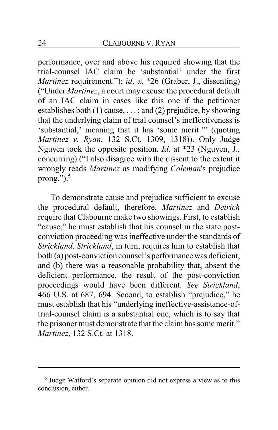performance, over and above his required showing that the trial-counsel IAC claim be 'substantial' under the first *Martinez* requirement."); *id*. at \*26 (Graber, J., dissenting) ("Under *Martinez*, a court may excuse the procedural default of an IAC claim in cases like this one if the petitioner establishes both  $(1)$  cause, ...; and  $(2)$  prejudice, by showing that the underlying claim of trial counsel's ineffectiveness is 'substantial,' meaning that it has 'some merit.'" (quoting *Martinez v. Ryan*, 132 S.Ct. 1309, 1318)). Only Judge Nguyen took the opposite position. *Id*. at \*23 (Nguyen, J., concurring) ("I also disagree with the dissent to the extent it wrongly reads *Martinez* as modifying *Coleman*'s prejudice prong.").**<sup>5</sup>**

To demonstrate cause and prejudice sufficient to excuse the procedural default, therefore, *Martinez* and *Detrich* require that Clabourne make two showings. First, to establish "cause," he must establish that his counsel in the state postconviction proceeding was ineffective under the standards of *Strickland*. *Strickland*, in turn, requires him to establish that both (a) post-conviction counsel's performancewas deficient, and (b) there was a reasonable probability that, absent the deficient performance, the result of the post-conviction proceedings would have been different. *See Strickland*, 466 U.S. at 687, 694. Second, to establish "prejudice," he must establish that his "underlying ineffective-assistance-oftrial-counsel claim is a substantial one, which is to say that the prisoner must demonstrate that the claim has some merit." *Martinez*, 132 S.Ct. at 1318.

**<sup>5</sup>** Judge Watford's separate opinion did not express a view as to this conclusion, either.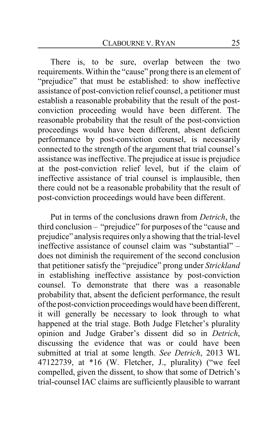There is, to be sure, overlap between the two requirements. Within the "cause" prong there is an element of "prejudice" that must be established: to show ineffective assistance of post-conviction relief counsel, a petitioner must establish a reasonable probability that the result of the postconviction proceeding would have been different. The reasonable probability that the result of the post-conviction proceedings would have been different, absent deficient performance by post-conviction counsel, is necessarily connected to the strength of the argument that trial counsel's assistance was ineffective. The prejudice at issue is prejudice at the post-conviction relief level, but if the claim of ineffective assistance of trial counsel is implausible, then there could not be a reasonable probability that the result of post-conviction proceedings would have been different.

Put in terms of the conclusions drawn from *Detrich*, the third conclusion – "prejudice" for purposes of the "cause and prejudice" analysis requires only a showing that the trial-level ineffective assistance of counsel claim was "substantial" – does not diminish the requirement of the second conclusion that petitioner satisfy the "prejudice" prong under *Strickland* in establishing ineffective assistance by post-conviction counsel. To demonstrate that there was a reasonable probability that, absent the deficient performance, the result of the post-conviction proceedings would have been different, it will generally be necessary to look through to what happened at the trial stage. Both Judge Fletcher's plurality opinion and Judge Graber's dissent did so in *Detrich*, discussing the evidence that was or could have been submitted at trial at some length. *See Detrich*, 2013 WL 47122739, at \*16 (W. Fletcher, J., plurality) ("we feel compelled, given the dissent, to show that some of Detrich's trial-counsel IAC claims are sufficiently plausible to warrant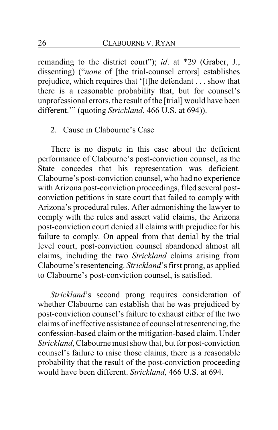remanding to the district court"); *id*. at \*29 (Graber, J., dissenting) ("*none* of [the trial-counsel errors] establishes prejudice, which requires that '[t]he defendant . . . show that there is a reasonable probability that, but for counsel's unprofessional errors, the result of the [trial] would have been different.'" (quoting *Strickland*, 466 U.S. at 694)).

### 2. Cause in Clabourne's Case

There is no dispute in this case about the deficient performance of Clabourne's post-conviction counsel, as the State concedes that his representation was deficient. Clabourne's post-conviction counsel, who had no experience with Arizona post-conviction proceedings, filed several postconviction petitions in state court that failed to comply with Arizona's procedural rules. After admonishing the lawyer to comply with the rules and assert valid claims, the Arizona post-conviction court denied all claims with prejudice for his failure to comply. On appeal from that denial by the trial level court, post-conviction counsel abandoned almost all claims, including the two *Strickland* claims arising from Clabourne's resentencing. *Strickland*'s first prong, as applied to Clabourne's post-conviction counsel, is satisfied.

*Strickland*'s second prong requires consideration of whether Clabourne can establish that he was prejudiced by post-conviction counsel's failure to exhaust either of the two claims of ineffective assistance of counsel at resentencing, the confession-based claim or the mitigation-based claim. Under *Strickland*, Clabourne must show that, but for post-conviction counsel's failure to raise those claims, there is a reasonable probability that the result of the post-conviction proceeding would have been different. *Strickland*, 466 U.S. at 694.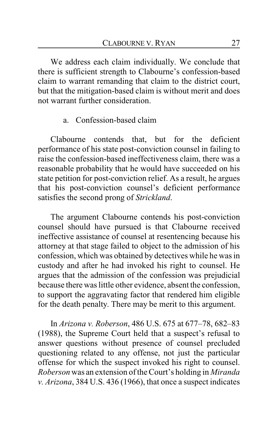We address each claim individually. We conclude that there is sufficient strength to Clabourne's confession-based claim to warrant remanding that claim to the district court, but that the mitigation-based claim is without merit and does not warrant further consideration.

### a. Confession-based claim

Clabourne contends that, but for the deficient performance of his state post-conviction counsel in failing to raise the confession-based ineffectiveness claim, there was a reasonable probability that he would have succeeded on his state petition for post-conviction relief. As a result, he argues that his post-conviction counsel's deficient performance satisfies the second prong of *Strickland*.

The argument Clabourne contends his post-conviction counsel should have pursued is that Clabourne received ineffective assistance of counsel at resentencing because his attorney at that stage failed to object to the admission of his confession, which was obtained by detectives while he was in custody and after he had invoked his right to counsel. He argues that the admission of the confession was prejudicial because there was little other evidence, absent the confession, to support the aggravating factor that rendered him eligible for the death penalty. There may be merit to this argument.

In *Arizona v. Roberson*, 486 U.S. 675 at 677–78, 682–83 (1988), the Supreme Court held that a suspect's refusal to answer questions without presence of counsel precluded questioning related to any offense, not just the particular offense for which the suspect invoked his right to counsel. *Roberson* was an extension of the Court's holding in *Miranda v. Arizona*, 384 U.S. 436 (1966), that once a suspect indicates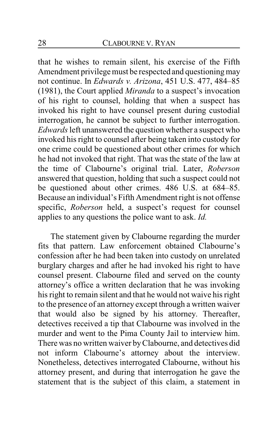that he wishes to remain silent, his exercise of the Fifth Amendment privilege must be respected and questioning may not continue. In *Edwards v. Arizona*, 451 U.S. 477, 484–85 (1981), the Court applied *Miranda* to a suspect's invocation of his right to counsel, holding that when a suspect has invoked his right to have counsel present during custodial interrogation, he cannot be subject to further interrogation. *Edwards*left unanswered the question whether a suspect who invoked his right to counsel after being taken into custody for one crime could be questioned about other crimes for which he had not invoked that right. That was the state of the law at the time of Clabourne's original trial. Later, *Roberson* answered that question, holding that such a suspect could not be questioned about other crimes. 486 U.S. at 684–85. Because an individual's Fifth Amendment right is not offense specific, *Roberson* held, a suspect's request for counsel applies to any questions the police want to ask. *Id.*

The statement given by Clabourne regarding the murder fits that pattern. Law enforcement obtained Clabourne's confession after he had been taken into custody on unrelated burglary charges and after he had invoked his right to have counsel present. Clabourne filed and served on the county attorney's office a written declaration that he was invoking his right to remain silent and that he would not waive his right to the presence of an attorney except through a written waiver that would also be signed by his attorney. Thereafter, detectives received a tip that Clabourne was involved in the murder and went to the Pima County Jail to interview him. There was no written waiver byClabourne, and detectives did not inform Clabourne's attorney about the interview. Nonetheless, detectives interrogated Clabourne, without his attorney present, and during that interrogation he gave the statement that is the subject of this claim, a statement in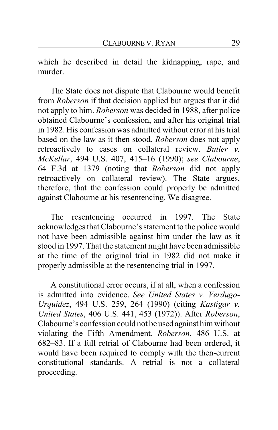which he described in detail the kidnapping, rape, and murder.

The State does not dispute that Clabourne would benefit from *Roberson* if that decision applied but argues that it did not apply to him. *Roberson* was decided in 1988, after police obtained Clabourne's confession, and after his original trial in 1982. His confession was admitted without error at his trial based on the law as it then stood. *Roberson* does not apply retroactively to cases on collateral review. *Butler v. McKellar*, 494 U.S. 407, 415–16 (1990); *see Clabourne*, 64 F.3d at 1379 (noting that *Roberson* did not apply retroactively on collateral review). The State argues, therefore, that the confession could properly be admitted against Clabourne at his resentencing. We disagree.

The resentencing occurred in 1997. The State acknowledges that Clabourne's statement to the police would not have been admissible against him under the law as it stood in 1997. That the statement might have been admissible at the time of the original trial in 1982 did not make it properly admissible at the resentencing trial in 1997.

A constitutional error occurs, if at all, when a confession is admitted into evidence. *See United States v. Verdugo-Urquidez*, 494 U.S. 259, 264 (1990) (citing *Kastigar v. United States*, 406 U.S. 441, 453 (1972)). After *Roberson*, Clabourne's confession could not be used against him without violating the Fifth Amendment. *Roberson*, 486 U.S. at 682–83. If a full retrial of Clabourne had been ordered, it would have been required to comply with the then-current constitutional standards. A retrial is not a collateral proceeding.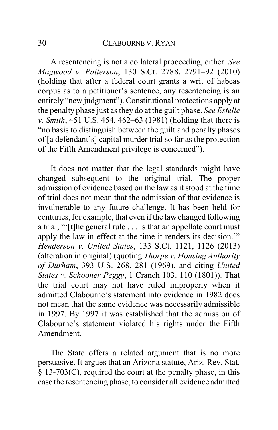A resentencing is not a collateral proceeding, either. *See Magwood v. Patterson*, 130 S.Ct. 2788, 2791–92 (2010) (holding that after a federal court grants a writ of habeas corpus as to a petitioner's sentence, any resentencing is an entirely "new judgment"). Constitutional protections apply at the penalty phase just as they do at the guilt phase. *See Estelle v. Smith*, 451 U.S. 454, 462–63 (1981) (holding that there is "no basis to distinguish between the guilt and penalty phases of [a defendant's] capital murder trial so far as the protection of the Fifth Amendment privilege is concerned").

It does not matter that the legal standards might have changed subsequent to the original trial. The proper admission of evidence based on the law as it stood at the time of trial does not mean that the admission of that evidence is invulnerable to any future challenge. It has been held for centuries, for example, that even if the law changed following a trial, "'[t]he general rule . . . is that an appellate court must apply the law in effect at the time it renders its decision.'" *Henderson v. United States*, 133 S.Ct. 1121, 1126 (2013) (alteration in original) (quoting *Thorpe v. Housing Authority of Durham*, 393 U.S. 268, 281 (1969), and citing *United States v. Schooner Peggy*, 1 Cranch 103, 110 (1801)). That the trial court may not have ruled improperly when it admitted Clabourne's statement into evidence in 1982 does not mean that the same evidence was necessarily admissible in 1997. By 1997 it was established that the admission of Clabourne's statement violated his rights under the Fifth Amendment.

The State offers a related argument that is no more persuasive. It argues that an Arizona statute, Ariz. Rev. Stat. § 13-703(C), required the court at the penalty phase, in this case the resentencing phase, to consider all evidence admitted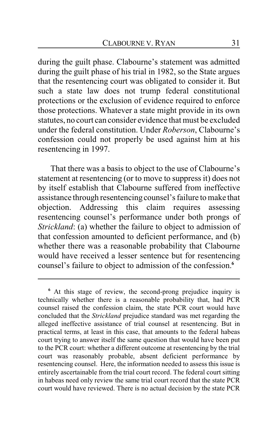during the guilt phase. Clabourne's statement was admitted during the guilt phase of his trial in 1982, so the State argues that the resentencing court was obligated to consider it. But such a state law does not trump federal constitutional protections or the exclusion of evidence required to enforce those protections. Whatever a state might provide in its own statutes, no court can consider evidence that must be excluded under the federal constitution. Under *Roberson*, Clabourne's confession could not properly be used against him at his resentencing in 1997.

That there was a basis to object to the use of Clabourne's statement at resentencing (or to move to suppress it) does not by itself establish that Clabourne suffered from ineffective assistance through resentencing counsel's failure to make that objection. Addressing this claim requires assessing resentencing counsel's performance under both prongs of *Strickland*: (a) whether the failure to object to admission of that confession amounted to deficient performance, and (b) whether there was a reasonable probability that Clabourne would have received a lesser sentence but for resentencing counsel's failure to object to admission of the confession.**<sup>6</sup>**

**<sup>6</sup>** At this stage of review, the second-prong prejudice inquiry is technically whether there is a reasonable probability that, had PCR counsel raised the confession claim, the state PCR court would have concluded that the *Strickland* prejudice standard was met regarding the alleged ineffective assistance of trial counsel at resentencing. But in practical terms, at least in this case, that amounts to the federal habeas court trying to answer itself the same question that would have been put to the PCR court: whether a different outcome at resentencing by the trial court was reasonably probable, absent deficient performance by resentencing counsel. Here, the information needed to assess this issue is entirely ascertainable from the trial court record. The federal court sitting in habeas need only review the same trial court record that the state PCR court would have reviewed. There is no actual decision by the state PCR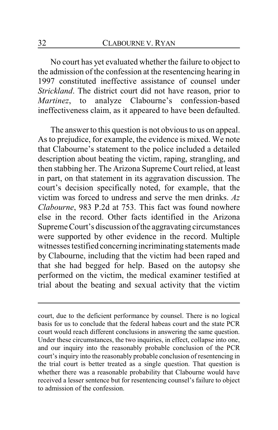No court has yet evaluated whether the failure to object to the admission of the confession at the resentencing hearing in 1997 constituted ineffective assistance of counsel under *Strickland*. The district court did not have reason, prior to *Martinez*, to analyze Clabourne's confession-based ineffectiveness claim, as it appeared to have been defaulted.

The answer to this question is not obvious to us on appeal. As to prejudice, for example, the evidence is mixed. We note that Clabourne's statement to the police included a detailed description about beating the victim, raping, strangling, and then stabbing her. The Arizona Supreme Court relied, at least in part, on that statement in its aggravation discussion. The court's decision specifically noted, for example, that the victim was forced to undress and serve the men drinks. *Az Clabourne*, 983 P.2d at 753. This fact was found nowhere else in the record. Other facts identified in the Arizona Supreme Court's discussion of the aggravating circumstances were supported by other evidence in the record. Multiple witnesses testified concerning incriminating statements made by Clabourne, including that the victim had been raped and that she had begged for help. Based on the autopsy she performed on the victim, the medical examiner testified at trial about the beating and sexual activity that the victim

court, due to the deficient performance by counsel. There is no logical basis for us to conclude that the federal habeas court and the state PCR court would reach different conclusions in answering the same question. Under these circumstances, the two inquiries, in effect, collapse into one, and our inquiry into the reasonably probable conclusion of the PCR court's inquiry into the reasonably probable conclusion of resentencing in the trial court is better treated as a single question. That question is whether there was a reasonable probability that Clabourne would have received a lesser sentence but for resentencing counsel's failure to object to admission of the confession.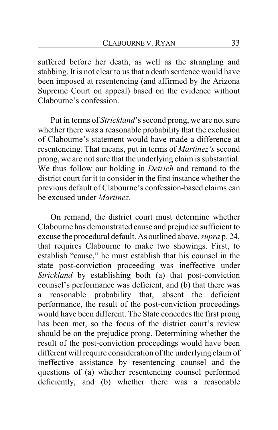suffered before her death, as well as the strangling and stabbing. It is not clear to us that a death sentence would have been imposed at resentencing (and affirmed by the Arizona Supreme Court on appeal) based on the evidence without Clabourne's confession.

Put in terms of *Strickland*'s second prong, we are not sure whether there was a reasonable probability that the exclusion of Clabourne's statement would have made a difference at resentencing. That means, put in terms of *Martinez's* second prong, we are not sure that the underlying claim is substantial. We thus follow our holding in *Detrich* and remand to the district court for it to consider in the first instance whether the previous default of Clabourne's confession-based claims can be excused under *Martinez*.

On remand, the district court must determine whether Clabourne has demonstrated cause and prejudice sufficient to excuse the procedural default. As outlined above, *supra* p. 24, that requires Clabourne to make two showings. First, to establish "cause," he must establish that his counsel in the state post-conviction proceeding was ineffective under *Strickland* by establishing both (a) that post-conviction counsel's performance was deficient, and (b) that there was<br>a reasonable probability that, absent the deficient a reasonable probability that, performance, the result of the post-conviction proceedings would have been different. The State concedes the first prong has been met, so the focus of the district court's review should be on the prejudice prong. Determining whether the result of the post-conviction proceedings would have been different will require consideration of the underlying claim of ineffective assistance by resentencing counsel and the questions of (a) whether resentencing counsel performed deficiently, and (b) whether there was a reasonable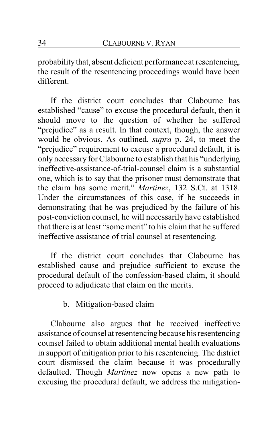probability that, absent deficient performance at resentencing, the result of the resentencing proceedings would have been different.

If the district court concludes that Clabourne has established "cause" to excuse the procedural default, then it should move to the question of whether he suffered "prejudice" as a result. In that context, though, the answer would be obvious. As outlined, *supra* p. 24, to meet the "prejudice" requirement to excuse a procedural default, it is only necessary for Clabourne to establish that his "underlying ineffective-assistance-of-trial-counsel claim is a substantial one, which is to say that the prisoner must demonstrate that the claim has some merit." *Martinez*, 132 S.Ct. at 1318. Under the circumstances of this case, if he succeeds in demonstrating that he was prejudiced by the failure of his post-conviction counsel, he will necessarily have established that there is at least "some merit" to his claim that he suffered ineffective assistance of trial counsel at resentencing.

If the district court concludes that Clabourne has established cause and prejudice sufficient to excuse the procedural default of the confession-based claim, it should proceed to adjudicate that claim on the merits.

### b. Mitigation-based claim

Clabourne also argues that he received ineffective assistance of counsel at resentencing because his resentencing counsel failed to obtain additional mental health evaluations in support of mitigation prior to his resentencing. The district court dismissed the claim because it was procedurally defaulted. Though *Martinez* now opens a new path to excusing the procedural default, we address the mitigation-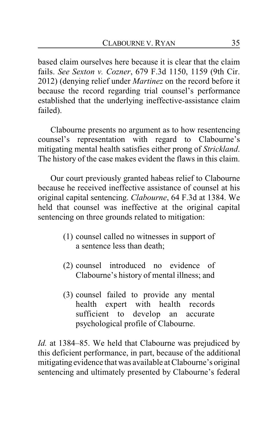based claim ourselves here because it is clear that the claim fails. *See Sexton v. Cozner*, 679 F.3d 1150, 1159 (9th Cir. 2012) (denying relief under *Martinez* on the record before it because the record regarding trial counsel's performance established that the underlying ineffective-assistance claim failed).

Clabourne presents no argument as to how resentencing counsel's representation with regard to Clabourne's mitigating mental health satisfies either prong of *Strickland*. The history of the case makes evident the flaws in this claim.

Our court previously granted habeas relief to Clabourne because he received ineffective assistance of counsel at his original capital sentencing. *Clabourne*, 64 F.3d at 1384. We held that counsel was ineffective at the original capital sentencing on three grounds related to mitigation:

- (1) counsel called no witnesses in support of a sentence less than death;
- (2) counsel introduced no evidence of Clabourne's history of mental illness; and
- (3) counsel failed to provide any mental health expert with health records sufficient to develop an accurate psychological profile of Clabourne.

*Id.* at 1384–85. We held that Clabourne was prejudiced by this deficient performance, in part, because of the additional mitigatingevidence that was available at Clabourne's original sentencing and ultimately presented by Clabourne's federal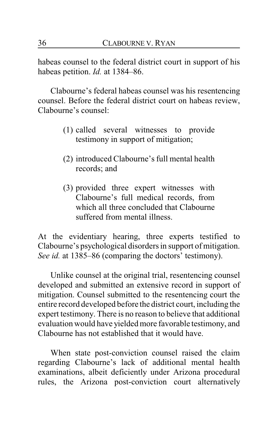habeas counsel to the federal district court in support of his habeas petition. *Id.* at 1384–86.

Clabourne's federal habeas counsel was his resentencing counsel. Before the federal district court on habeas review, Clabourne's counsel:

- (1) called several witnesses to provide testimony in support of mitigation;
- (2) introduced Clabourne's full mental health records; and
- (3) provided three expert witnesses with Clabourne's full medical records, from which all three concluded that Clabourne suffered from mental illness.

At the evidentiary hearing, three experts testified to Clabourne's psychological disorders in support of mitigation. *See id.* at 1385–86 (comparing the doctors' testimony).

Unlike counsel at the original trial, resentencing counsel developed and submitted an extensive record in support of mitigation. Counsel submitted to the resentencing court the entire record developed before the district court, including the expert testimony. There is no reason to believe that additional evaluation would have yielded more favorable testimony, and Clabourne has not established that it would have.

When state post-conviction counsel raised the claim regarding Clabourne's lack of additional mental health examinations, albeit deficiently under Arizona procedural rules, the Arizona post-conviction court alternatively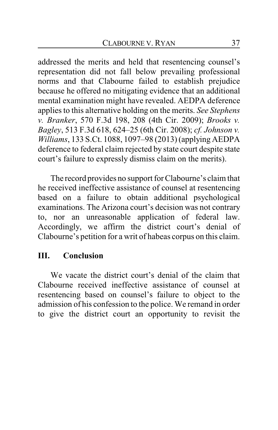addressed the merits and held that resentencing counsel's representation did not fall below prevailing professional norms and that Clabourne failed to establish prejudice because he offered no mitigating evidence that an additional mental examination might have revealed. AEDPA deference applies to this alternative holding on the merits. *See Stephens v. Branker*, 570 F.3d 198, 208 (4th Cir. 2009); *Brooks v. Bagley*, 513 F.3d 618, 624–25 (6th Cir. 2008); *cf. Johnson v. Williams*, 133 S.Ct. 1088, 1097–98 (2013) (applying AEDPA deference to federal claim rejected by state court despite state court's failure to expressly dismiss claim on the merits).

The record provides no support for Clabourne's claim that he received ineffective assistance of counsel at resentencing based on a failure to obtain additional psychological examinations. The Arizona court's decision was not contrary to, nor an unreasonable application of federal law. Accordingly, we affirm the district court's denial of Clabourne's petition for a writ of habeas corpus on this claim.

## **III. Conclusion**

We vacate the district court's denial of the claim that Clabourne received ineffective assistance of counsel at resentencing based on counsel's failure to object to the admission of his confession to the police. We remand in order to give the district court an opportunity to revisit the